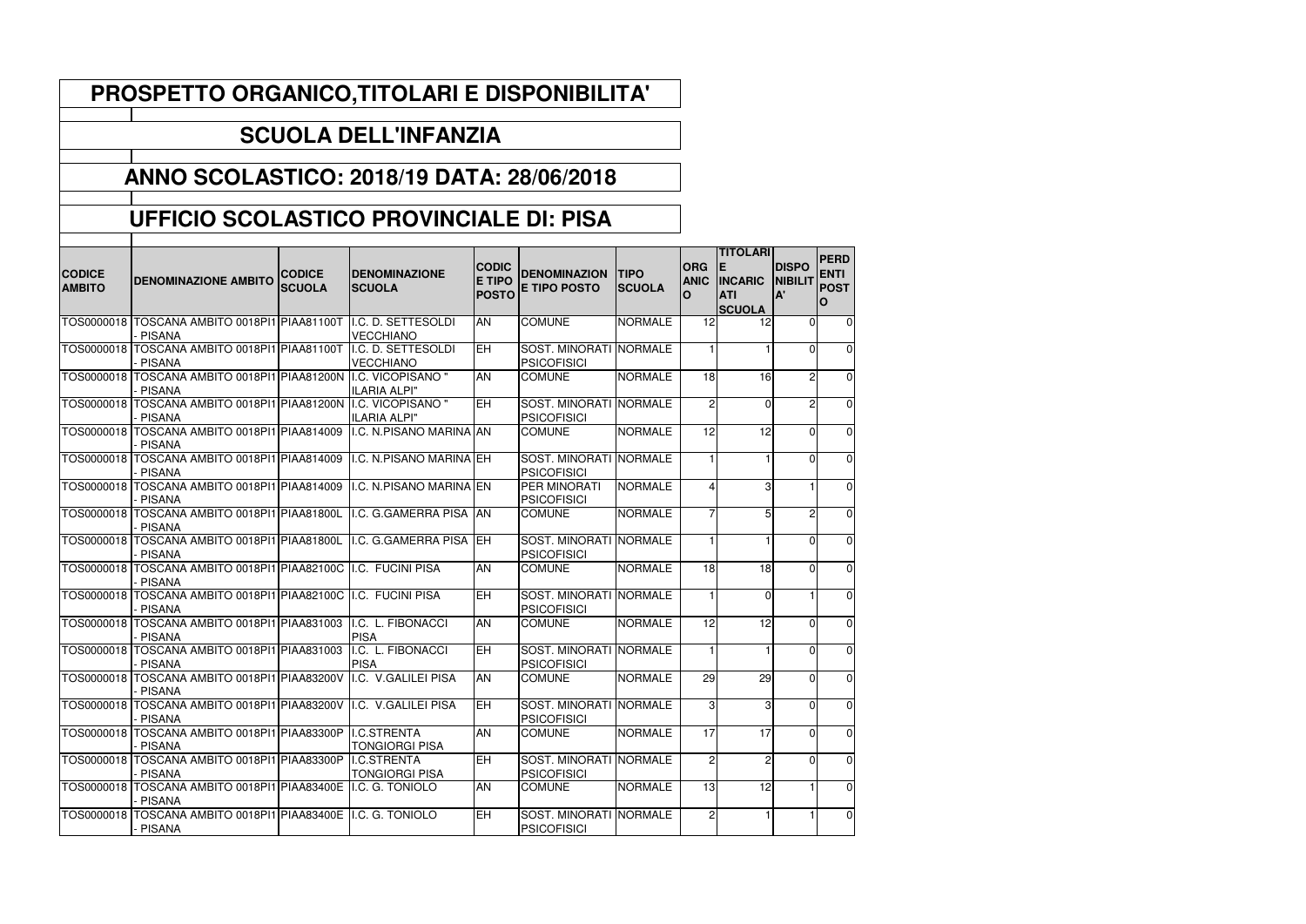| PROSPETTO ORGANICO, TITOLARI E DISPONIBILITA'    |                                                                                |                                |                                        |                                               |                                              |                              |                                       |                                                                         |                                      |                                                |
|--------------------------------------------------|--------------------------------------------------------------------------------|--------------------------------|----------------------------------------|-----------------------------------------------|----------------------------------------------|------------------------------|---------------------------------------|-------------------------------------------------------------------------|--------------------------------------|------------------------------------------------|
|                                                  |                                                                                |                                | <b>SCUOLA DELL'INFANZIA</b>            |                                               |                                              |                              |                                       |                                                                         |                                      |                                                |
| <b>ANNO SCOLASTICO: 2018/19 DATA: 28/06/2018</b> |                                                                                |                                |                                        |                                               |                                              |                              |                                       |                                                                         |                                      |                                                |
|                                                  | UFFICIO SCOLASTICO PROVINCIALE DI: PISA                                        |                                |                                        |                                               |                                              |                              |                                       |                                                                         |                                      |                                                |
| <b>CODICE</b><br><b>AMBITO</b>                   | <b>DENOMINAZIONE AMBITO</b>                                                    | <b>CODICE</b><br><b>SCUOLA</b> | <b>DENOMINAZIONE</b><br><b>SCUOLA</b>  | <b>CODIC</b><br><b>E TIPO</b><br><b>POSTO</b> | <b>DENOMINAZION</b><br><b>E TIPO POSTO</b>   | <b>TIPO</b><br><b>SCUOLA</b> | <b>ORG</b><br><b>ANIC</b><br><b>O</b> | <b>TITOLARI</b><br>IE.<br><b>INCARIC</b><br><b>ATI</b><br><b>SCUOLA</b> | <b>DISPO</b><br><b>NIBILIT</b><br>A' | <b>PERD</b><br><b>ENTI</b><br><b>POST</b><br>O |
|                                                  | TOS0000018 TOSCANA AMBITO 0018PI1 PIAA81100T<br>- PISANA                       |                                | I.C. D. SETTESOLDI<br><b>VECCHIANO</b> | <b>AN</b>                                     | <b>COMUNE</b>                                | <b>NORMALE</b>               | 12                                    | 12                                                                      | $\Omega$                             | 0                                              |
|                                                  | TOS0000018 TOSCANA AMBITO 0018PI1 PIAA81100T<br>PISANA                         |                                | I.C. D. SETTESOLDI<br><b>VECCHIANO</b> | <b>IEH</b>                                    | SOST. MINORATI NORMALE<br><b>PSICOFISICI</b> |                              |                                       |                                                                         | $\Omega$                             | $\overline{0}$                                 |
|                                                  | TOS0000018 TOSCANA AMBITO 0018PI1 PIAA81200N I.C. VICOPISANO "<br>PISANA       |                                | <b>ILARIA ALPI"</b>                    | <b>AN</b>                                     | <b>COMUNE</b>                                | <b>NORMALE</b>               | 18                                    | 16                                                                      | 2                                    | $\overline{0}$                                 |
|                                                  | TOS0000018 TOSCANA AMBITO 0018PI1 PIAA81200N I.C. VICOPISANO "<br>PISANA       |                                | <b>ILARIA ALPI"</b>                    | <b>EH</b>                                     | SOST. MINORATI NORMALE<br><b>PSICOFISICI</b> |                              | $\overline{2}$                        | $\Omega$                                                                | $\overline{c}$                       | $\overline{0}$                                 |
|                                                  | TOS0000018 TOSCANA AMBITO 0018PI1 PIAA814009<br><b>PISANA</b>                  |                                | I.C. N.PISANO MARINA AN                |                                               | <b>COMUNE</b>                                | <b>NORMALE</b>               | 12                                    | 12                                                                      | $\Omega$                             | $\overline{0}$                                 |
|                                                  | TOS0000018   TOSCANA AMBITO 0018PI1   PIAA814009<br><b>PISANA</b>              |                                | I.C. N.PISANO MARINA EH                |                                               | SOST. MINORATI NORMALE<br><b>PSICOFISICI</b> |                              |                                       |                                                                         | $\Omega$                             | $\overline{0}$                                 |
|                                                  | TOS0000018   TOSCANA AMBITO 0018PI1   PIAA814009<br>- PISANA                   |                                | I.C. N.PISANO MARINA EN                |                                               | PER MINORATI<br><b>PSICOFISICI</b>           | <b>NORMALE</b>               | Δ                                     | 3                                                                       |                                      | $\overline{0}$                                 |
|                                                  | TOS0000018 TOSCANA AMBITO 0018PI1 PIAA81800L<br>PISANA                         |                                | I.C. G.GAMERRA PISA AN                 |                                               | <b>COMUNE</b>                                | <b>NORMALE</b>               |                                       | 5                                                                       | $\overline{c}$                       | $\overline{0}$                                 |
|                                                  | TOS0000018 TOSCANA AMBITO 0018PI1 PIAA81800L<br>PISANA                         |                                | I.C. G.GAMERRA PISA EH                 |                                               | SOST. MINORATI NORMALE<br><b>PSICOFISICI</b> |                              |                                       |                                                                         | $\Omega$                             | $\overline{0}$                                 |
|                                                  | TOS0000018 TOSCANA AMBITO 0018PI1 PIAA82100C I.C. FUCINI PISA<br><b>PISANA</b> |                                |                                        | <b>AN</b>                                     | <b>COMUNE</b>                                | <b>NORMALE</b>               | 18 <sup>1</sup>                       | 18                                                                      | $\overline{0}$                       | 0                                              |
|                                                  | TOS0000018 TOSCANA AMBITO 0018PI1 PIAA82100C II.C. FUCINI PISA<br>PISANA       |                                |                                        | EH                                            | SOST. MINORATI NORMALE<br><b>PSICOFISICI</b> |                              |                                       | 0                                                                       |                                      | $\overline{0}$                                 |
|                                                  | TOS0000018 TOSCANA AMBITO 0018PI1 PIAA831003<br>PISANA                         |                                | I.C. L. FIBONACCI<br><b>PISA</b>       | AN                                            | <b>COMUNE</b>                                | <b>NORMALE</b>               | 12                                    | 12                                                                      | $\mathbf 0$                          | 0                                              |
|                                                  | TOS0000018   TOSCANA AMBITO 0018PI1   PIAA831003<br>- PISANA                   |                                | I.C. L. FIBONACCI<br><b>PISA</b>       | <b>EH</b>                                     | SOST. MINORATI NORMALE<br><b>PSICOFISICI</b> |                              |                                       |                                                                         | $\overline{0}$                       | $\overline{0}$                                 |
|                                                  | TOS0000018 TOSCANA AMBITO 0018PI1 PIAA83200V<br>- PISANA                       |                                | I.C. V.GALILEI PISA                    | <b>AN</b>                                     | <b>COMUNE</b>                                | <b>NORMALE</b>               | 29                                    | 29                                                                      | $\overline{0}$                       | $\overline{0}$                                 |
|                                                  | TOS0000018 TOSCANA AMBITO 0018PI1 PIAA83200V<br>PISANA                         |                                | I.C. V.GALILEI PISA                    | <b>IEH</b>                                    | SOST. MINORATI NORMALE<br><b>PSICOFISICI</b> |                              | 3 <sup>1</sup>                        | 3                                                                       | $\overline{0}$                       | $\overline{0}$                                 |
|                                                  | TOS0000018 TOSCANA AMBITO 0018PI1 PIAA83300P<br>PISANA                         |                                | I.C.STRENTA<br><b>TONGIORGI PISA</b>   | <b>AN</b>                                     | <b>COMUNE</b>                                | <b>NORMALE</b>               | 17                                    | 17                                                                      | $\overline{0}$                       | $\overline{0}$                                 |
|                                                  | TOS0000018 TOSCANA AMBITO 0018PI1 PIAA83300P ILC.STRENTA<br>PISANA             |                                | <b>TONGIORGI PISA</b>                  | EH                                            | SOST. MINORATI NORMALE<br><b>PSICOFISICI</b> |                              | 2                                     | $\overline{c}$                                                          | $\overline{0}$                       | $\overline{0}$                                 |
|                                                  | TOS0000018 TOSCANA AMBITO 0018PI1 PIAA83400E I.C. G. TONIOLO<br><b>PISANA</b>  |                                |                                        | <b>AN</b>                                     | <b>COMUNE</b>                                | <b>NORMALE</b>               | 13                                    | 12                                                                      |                                      | $\overline{0}$                                 |
|                                                  | TOS0000018 TOSCANA AMBITO 0018PI1 PIAA83400E II.C. G. TONIOLO<br>- PISANA      |                                |                                        | <b>EH</b>                                     | SOST. MINORATI NORMALE<br><b>PSICOFISICI</b> |                              | $\overline{2}$                        |                                                                         |                                      | 0                                              |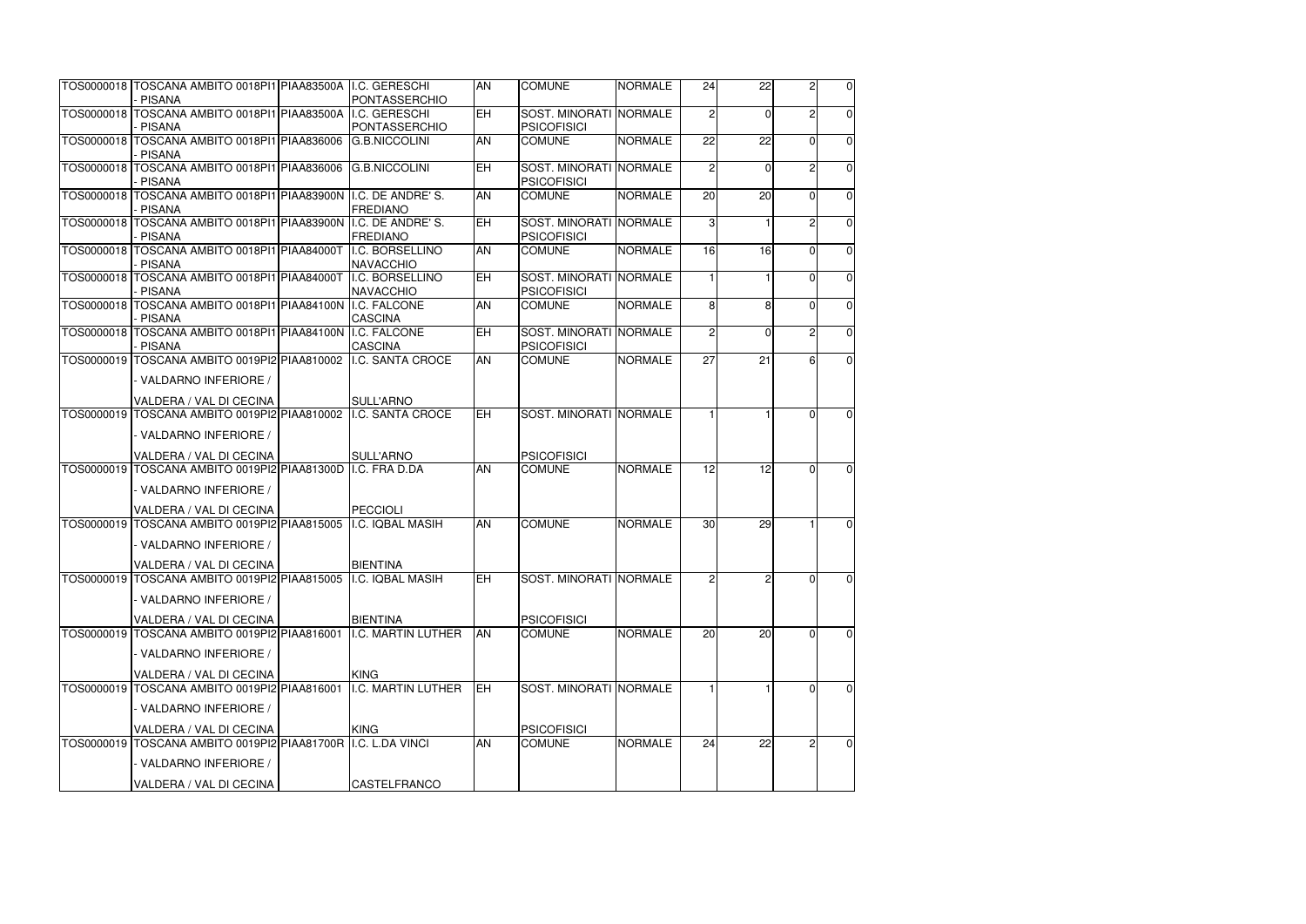| TOS0000018   TOSCANA AMBITO 0018PI1   PIAA83500A   I.C. GERESCHI<br>- PISANA                   |             | PONTASSERCHIO                         | <b>AN</b>                | <b>COMUNE</b>                                | <b>NORMALE</b> | 24              | 22              | $\overline{2}$ | $\overline{0}$ |
|------------------------------------------------------------------------------------------------|-------------|---------------------------------------|--------------------------|----------------------------------------------|----------------|-----------------|-----------------|----------------|----------------|
| TOS0000018 TOSCANA AMBITO 0018PI1 PIAA83500A II.C. GERESCHI                                    |             |                                       | $\overline{\mathsf{EH}}$ | SOST. MINORATI NORMALE                       |                | $\overline{2}$  | $\mathbf{0}$    | $\overline{2}$ | $\overline{0}$ |
| - PISANA<br>TOS0000018 TOSCANA AMBITO 0018PI1 PIAA836006                                       |             | PONTASSERCHIO<br><b>G.B.NICCOLINI</b> | <b>AN</b>                | <b>PSICOFISICI</b><br><b>COMUNE</b>          | <b>NORMALE</b> | 22              | 22              | $\Omega$       | $\overline{0}$ |
| PISANA<br>TOS0000018 TOSCANA AMBITO 0018PI1 PIAA836006 G.B.NICCOLINI                           |             |                                       | H                        | SOST. MINORATI NORMALE                       |                | $\overline{2}$  | $\mathbf 0$     | $\overline{c}$ | $\overline{0}$ |
| PISANA<br>TOS0000018 TOSCANA AMBITO 0018PI1 PIAA83900N I.C. DE ANDRE'S.                        |             |                                       | <b>AN</b>                | <b>PSICOFISICI</b><br><b>COMUNE</b>          | <b>NORMALE</b> | 20              | 20              | $\overline{0}$ | $\overline{0}$ |
| PISANA<br>TOS0000018 TOSCANA AMBITO 0018PI1 PIAA83900N II.C. DE ANDRE'S.                       |             | <b>FREDIANO</b>                       | <b>EH</b>                | <b>SOST. MINORATI NORMALE</b>                |                | 3 <sup>l</sup>  |                 |                | $\overline{0}$ |
| - PISANA                                                                                       |             | <b>FREDIANO</b>                       |                          | <b>PSICOFISICI</b>                           |                |                 |                 | 2              |                |
| TOS0000018   TOSCANA AMBITO 0018PI1 PIAA84000T<br>- PISANA                                     |             | I.C. BORSELLINO<br>NAVACCHIO          | <b>AN</b>                | <b>COMUNE</b>                                | <b>NORMALE</b> | 16              | 16              | $\mathbf 0$    | $\overline{0}$ |
| TOS0000018 TOSCANA AMBITO 0018PI1 PIAA84000T II.C. BORSELLINO<br>- PISANA                      |             | NAVACCHIO                             | <b>EH</b>                | SOST. MINORATI NORMALE<br><b>PSICOFISICI</b> |                |                 |                 | $\Omega$       | $\overline{0}$ |
| TOS0000018 TOSCANA AMBITO 0018PI1 PIAA84100N II.C. FALCONE<br><b>PISANA</b>                    |             | <b>CASCINA</b>                        | <b>AN</b>                | <b>COMUNE</b>                                | <b>NORMALE</b> | 8 <sup>1</sup>  | 8               | $\Omega$       | $\overline{0}$ |
| TOS0000018 TOSCANA AMBITO 0018PI1 PIAA84100N I.C. FALCONE<br>- PISANA                          |             | <b>CASCINA</b>                        | <b>EH</b>                | SOST. MINORATI NORMALE<br><b>PSICOFISICI</b> |                | $\overline{2}$  | $\mathbf 0$     | $\overline{c}$ | $\overline{0}$ |
| TOS0000019 TOSCANA AMBITO 0019PI2 PIAA810002 I.C. SANTA CROCE                                  |             |                                       | AN                       | <b>COMUNE</b>                                | <b>NORMALE</b> | $\overline{27}$ | $\overline{21}$ | 6              | $\overline{0}$ |
| - VALDARNO INFERIORE /                                                                         |             |                                       |                          |                                              |                |                 |                 |                |                |
| VALDERA / VAL DI CECINA<br>TOS0000019   TOSCANA AMBITO 0019PI2   PIAA810002   I.C. SANTA CROCE |             | <b>SULL'ARNO</b>                      | EH                       | SOST. MINORATI NORMALE                       |                |                 |                 | $\Omega$       | $\overline{0}$ |
| - VALDARNO INFERIORE /                                                                         |             |                                       |                          |                                              |                |                 |                 |                |                |
| VALDERA / VAL DI CECINA                                                                        |             | <b>SULL'ARNO</b>                      |                          | <b>PSICOFISICI</b>                           |                |                 |                 |                |                |
| TOS0000019 TOSCANA AMBITO 0019PI2 PIAA81300D II.C. FRA D.DA                                    |             |                                       | <b>AN</b>                | <b>COMUNE</b>                                | <b>NORMALE</b> | 12              | 12              | $\Omega$       | $\overline{0}$ |
| - VALDARNO INFERIORE /                                                                         |             |                                       |                          |                                              |                |                 |                 |                |                |
| <b>VALDERA / VAL DI CECINA</b>                                                                 |             | PECCIOLI                              |                          |                                              |                |                 |                 |                |                |
| TOS0000019 TOSCANA AMBITO 0019PI2 PIAA815005                                                   |             | II.C. IQBAL MASIH                     | <b>AN</b>                | <b>COMUNE</b>                                | <b>NORMALE</b> | 30 <sub>l</sub> | 29              | $\mathbf{1}$   | $\overline{0}$ |
| - VALDARNO INFERIORE /                                                                         |             |                                       |                          |                                              |                |                 |                 |                |                |
| VALDERA / VAL DI CECINA                                                                        |             | <b>BIENTINA</b>                       |                          |                                              |                |                 |                 |                |                |
| TOS0000019 TOSCANA AMBITO 0019PI2 PIAA815005<br>- VALDARNO INFERIORE /                         |             | I.C. IQBAL MASIH                      | ΕH                       | SOST. MINORATI NORMALE                       |                | $\overline{2}$  | $\overline{2}$  | $\Omega$       | $\overline{0}$ |
|                                                                                                |             |                                       |                          |                                              |                |                 |                 |                |                |
| VALDERA / VAL DI CECINA                                                                        |             | <b>BIENTINA</b>                       |                          | <b>PSICOFISICI</b>                           |                |                 |                 |                |                |
| TOS0000019 TOSCANA AMBITO 0019PI2 PIAA816001<br>- VALDARNO INFERIORE /                         |             | I.C. MARTIN LUTHER                    | <b>AN</b>                | <b>COMUNE</b>                                | <b>NORMALE</b> | 20              | 20              | $\Omega$       | $\overline{0}$ |
| VALDERA / VAL DI CECINA                                                                        | <b>KING</b> |                                       |                          |                                              |                |                 |                 |                |                |
| TOS0000019 TOSCANA AMBITO 0019PI2 PIAA816001                                                   |             | I.C. MARTIN LUTHER                    | <b>IEH</b>               | SOST. MINORATI NORMALE                       |                |                 |                 | $\Omega$       | $\overline{0}$ |
| - VALDARNO INFERIORE /                                                                         |             |                                       |                          |                                              |                |                 |                 |                |                |
| VALDERA / VAL DI CECINA                                                                        | <b>KING</b> |                                       |                          | <b>PSICOFISICI</b>                           |                |                 |                 |                |                |
| TOS0000019 TOSCANA AMBITO 0019PI2 PIAA81700R                                                   |             | I.C. L.DA VINCI                       | <b>AN</b>                | <b>COMUNE</b>                                | <b>NORMALE</b> | 24              | 22              | $\overline{c}$ | $\overline{0}$ |
| - VALDARNO INFERIORE /                                                                         |             |                                       |                          |                                              |                |                 |                 |                |                |
| VALDERA / VAL DI CECINA                                                                        |             | <b>CASTELFRANCO</b>                   |                          |                                              |                |                 |                 |                |                |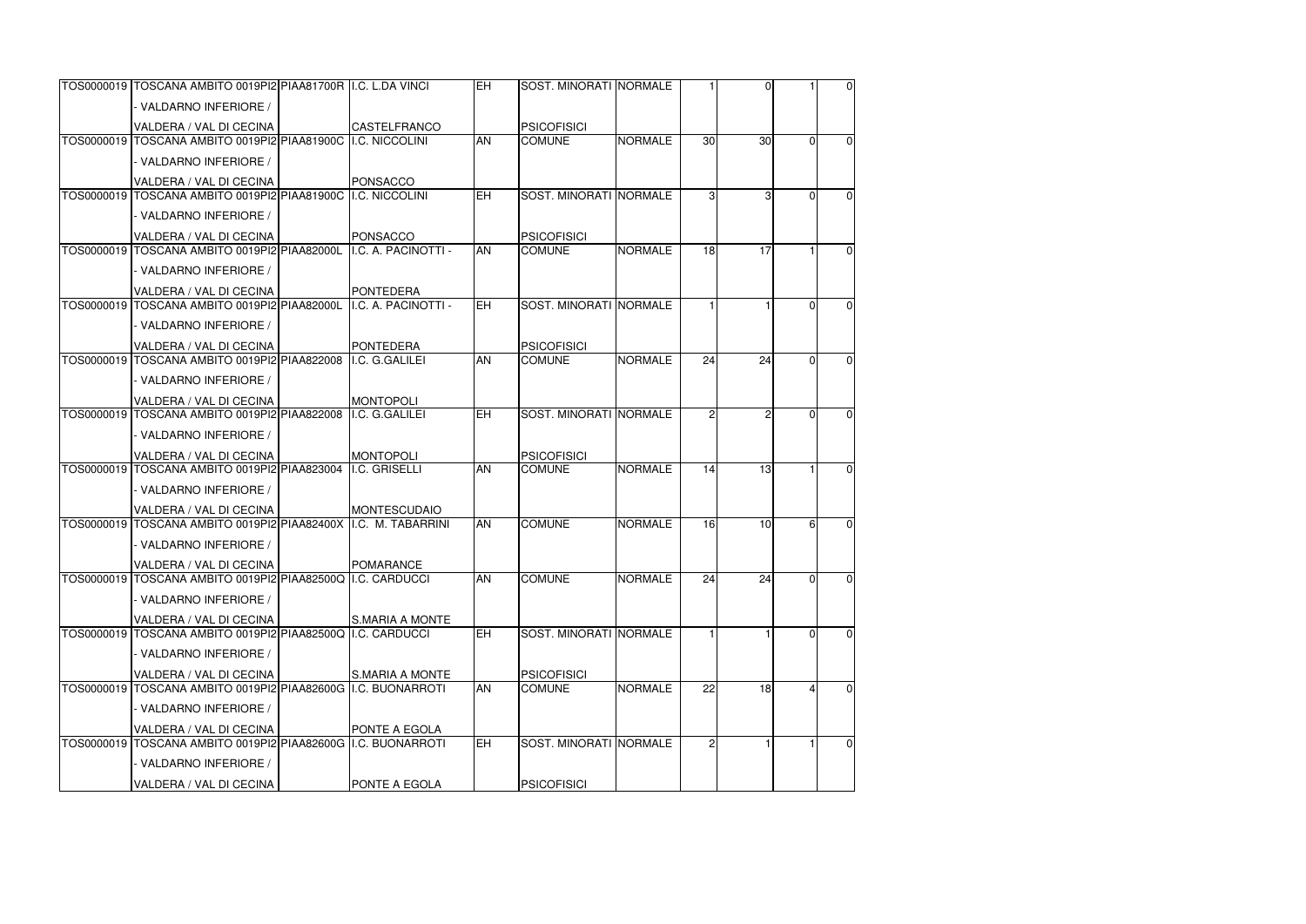|  | TOS0000019 TOSCANA AMBITO 0019PI2 PIAA81700R II.C. L.DA VINCI  |                        | <b>IEH</b> | <b>SOST. MINORATI INORMALE</b> |                |                 | $\Omega$ |          | $\overline{0}$ |
|--|----------------------------------------------------------------|------------------------|------------|--------------------------------|----------------|-----------------|----------|----------|----------------|
|  | - VALDARNO INFERIORE /                                         |                        |            |                                |                |                 |          |          |                |
|  | VALDERA / VAL DI CECINA                                        | <b>CASTELFRANCO</b>    |            | <b>PSICOFISICI</b>             |                |                 |          |          |                |
|  | TOS0000019 TOSCANA AMBITO 0019PI2 PIAA81900C II.C. NICCOLINI   |                        | <b>AN</b>  | <b>COMUNE</b>                  | <b>NORMALE</b> | 30 <sup>1</sup> | 30       | $\Omega$ | $\overline{0}$ |
|  | - VALDARNO INFERIORE /                                         |                        |            |                                |                |                 |          |          |                |
|  | VALDERA / VAL DI CECINA                                        | PONSACCO               |            |                                |                |                 |          |          |                |
|  | TOS0000019 TOSCANA AMBITO 0019PI2 PIAA81900C ILC. NICCOLINI    |                        | EH         | SOST. MINORATI NORMALE         |                | 3               | 3        | $\Omega$ | $\overline{0}$ |
|  | - VALDARNO INFERIORE /                                         |                        |            |                                |                |                 |          |          |                |
|  | VALDERA / VAL DI CECINA                                        | PONSACCO               |            | <b>PSICOFISICI</b>             |                |                 |          |          |                |
|  | TOS0000019 TOSCANA AMBITO 0019PI2 PIAA82000L                   | I.C. A. PACINOTTI -    | <b>AN</b>  | <b>COMUNE</b>                  | <b>NORMALE</b> | 18              | 17       |          | $\overline{0}$ |
|  | - VALDARNO INFERIORE /                                         |                        |            |                                |                |                 |          |          |                |
|  | VALDERA / VAL DI CECINA                                        | <b>PONTEDERA</b>       |            |                                |                |                 |          |          |                |
|  | TOS0000019 TOSCANA AMBITO 0019PI2 PIAA82000L                   | I.C. A. PACINOTTI -    | <b>EH</b>  | SOST. MINORATI NORMALE         |                |                 |          | $\Omega$ | $\Omega$       |
|  | - VALDARNO INFERIORE /                                         |                        |            |                                |                |                 |          |          |                |
|  | VALDERA / VAL DI CECINA                                        | <b>PONTEDERA</b>       |            | <b>PSICOFISICI</b>             |                |                 |          |          |                |
|  | TOS0000019 TOSCANA AMBITO 0019PI2 PIAA822008                   | I.C. G. GALILEI        | AN         | <b>COMUNE</b>                  | <b>NORMALE</b> | 24              | 24       | $\Omega$ | $\overline{0}$ |
|  | - VALDARNO INFERIORE /                                         |                        |            |                                |                |                 |          |          |                |
|  | VALDERA / VAL DI CECINA                                        | <b>MONTOPOLI</b>       |            |                                |                |                 |          |          |                |
|  | TOS0000019 TOSCANA AMBITO 0019PI2 PIAA822008                   | I.C. G.GALILEI         | <b>EH</b>  | <b>SOST. MINORATI NORMALE</b>  |                |                 |          | $\Omega$ | $\overline{0}$ |
|  | - VALDARNO INFERIORE /                                         |                        |            |                                |                |                 |          |          |                |
|  | <b>VALDERA / VAL DI CECINA</b>                                 | <b>MONTOPOLI</b>       |            | <b>PSICOFISICI</b>             |                |                 |          |          |                |
|  | TOS0000019 TOSCANA AMBITO 0019PI2 PIAA823004                   | I.C. GRISELLI          | <b>AN</b>  | <b>COMUNE</b>                  | <b>NORMALE</b> | 14              | 13       |          | $\overline{0}$ |
|  | - VALDARNO INFERIORE /                                         |                        |            |                                |                |                 |          |          |                |
|  | VALDERA / VAL DI CECINA                                        | <b>MONTESCUDAIO</b>    |            |                                |                |                 |          |          |                |
|  | TOS0000019 TOSCANA AMBITO 0019PI2 PIAA82400X I.C. M. TABARRINI |                        | <b>AN</b>  | <b>COMUNE</b>                  | <b>NORMALE</b> | 16              | 10       | 6        | $\overline{0}$ |
|  | - VALDARNO INFERIORE /                                         |                        |            |                                |                |                 |          |          |                |
|  | VALDERA / VAL DI CECINA                                        | POMARANCE              |            |                                |                |                 |          |          |                |
|  | TOS0000019 TOSCANA AMBITO 0019PI2 PIAA82500Q I.C. CARDUCCI     |                        | <b>AN</b>  | <b>COMUNE</b>                  | <b>NORMALE</b> | 24              | 24       | $\Omega$ | $\overline{0}$ |
|  | - VALDARNO INFERIORE /                                         |                        |            |                                |                |                 |          |          |                |
|  | VALDERA / VAL DI CECINA                                        | <b>S.MARIA A MONTE</b> |            |                                |                |                 |          |          |                |
|  | TOS0000019 TOSCANA AMBITO 0019PI2 PIAA82500Q I.C. CARDUCCI     |                        | EH         | SOST. MINORATI NORMALE         |                |                 |          | $\Omega$ | $\overline{0}$ |
|  | - VALDARNO INFERIORE /                                         |                        |            |                                |                |                 |          |          |                |
|  | VALDERA / VAL DI CECINA                                        | <b>S.MARIA A MONTE</b> |            | <b>PSICOFISICI</b>             |                |                 |          |          |                |
|  |                                                                |                        | <b>AN</b>  | <b>COMUNE</b>                  | <b>NORMALE</b> | 22              | 18       |          | $\overline{0}$ |
|  | - VALDARNO INFERIORE /                                         |                        |            |                                |                |                 |          |          |                |
|  | VALDERA / VAL DI CECINA                                        | PONTE A EGOLA          |            |                                |                |                 |          |          |                |
|  | TOS0000019 TOSCANA AMBITO 0019PI2 PIAA82600G                   | I.C. BUONARROTI        | <b>EH</b>  | SOST. MINORATI NORMALE         |                |                 |          |          | $\overline{0}$ |
|  | - VALDARNO INFERIORE /                                         |                        |            |                                |                |                 |          |          |                |
|  | VALDERA / VAL DI CECINA                                        | PONTE A EGOLA          |            | <b>PSICOFISICI</b>             |                |                 |          |          |                |